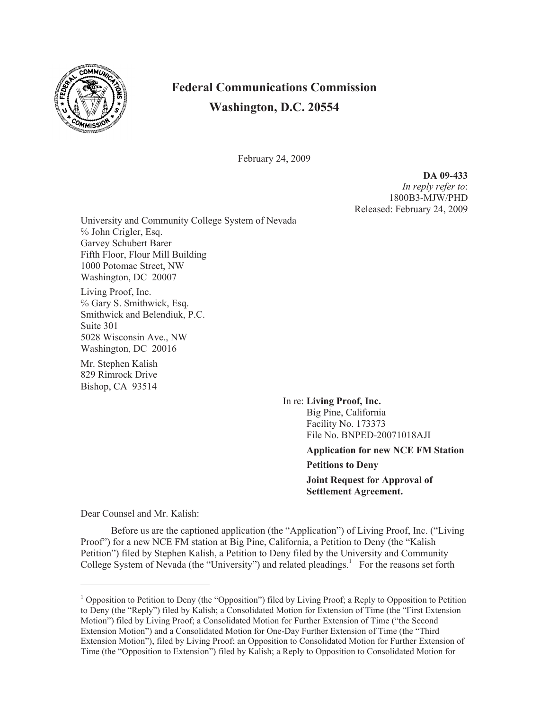

## **Federal Communications Commission Washington, D.C. 20554**

February 24, 2009

**DA 09-433** *In reply refer to*: 1800B3-MJW/PHD Released: February 24, 2009

University and Community College System of Nevada ℅ John Crigler, Esq. Garvey Schubert Barer Fifth Floor, Flour Mill Building 1000 Potomac Street, NW Washington, DC 20007

Living Proof, Inc. ℅ Gary S. Smithwick, Esq. Smithwick and Belendiuk, P.C. Suite 301 5028 Wisconsin Ave., NW Washington, DC 20016

Mr. Stephen Kalish 829 Rimrock Drive Bishop, CA 93514

> In re: **Living Proof, Inc.** Big Pine, California Facility No. 173373 File No. BNPED-20071018AJI

> > **Application for new NCE FM Station Petitions to Deny Joint Request for Approval of Settlement Agreement.**

Dear Counsel and Mr. Kalish:

Before us are the captioned application (the "Application") of Living Proof, Inc. ("Living Proof") for a new NCE FM station at Big Pine, California, a Petition to Deny (the "Kalish Petition") filed by Stephen Kalish, a Petition to Deny filed by the University and Community College System of Nevada (the "University") and related pleadings.<sup>1</sup> For the reasons set forth

<sup>&</sup>lt;sup>1</sup> Opposition to Petition to Deny (the "Opposition") filed by Living Proof; a Reply to Opposition to Petition to Deny (the "Reply") filed by Kalish; a Consolidated Motion for Extension of Time (the "First Extension Motion") filed by Living Proof; a Consolidated Motion for Further Extension of Time ("the Second Extension Motion") and a Consolidated Motion for One-Day Further Extension of Time (the "Third Extension Motion"), filed by Living Proof; an Opposition to Consolidated Motion for Further Extension of Time (the "Opposition to Extension") filed by Kalish; a Reply to Opposition to Consolidated Motion for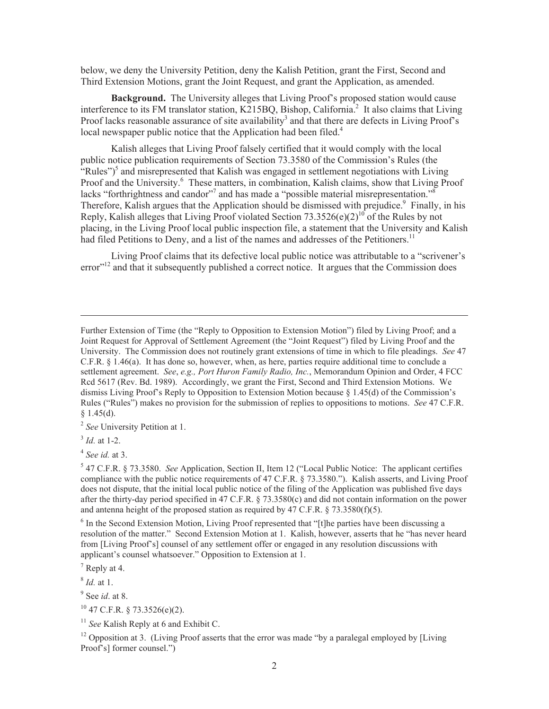below, we deny the University Petition, deny the Kalish Petition, grant the First, Second and Third Extension Motions, grant the Joint Request, and grant the Application, as amended.

**Background.** The University alleges that Living Proof's proposed station would cause interference to its FM translator station, K215BQ, Bishop, California.<sup>2</sup> It also claims that Living Proof lacks reasonable assurance of site availability<sup>3</sup> and that there are defects in Living Proof's local newspaper public notice that the Application had been filed.<sup>4</sup>

Kalish alleges that Living Proof falsely certified that it would comply with the local public notice publication requirements of Section 73.3580 of the Commission's Rules (the "Rules")<sup>5</sup> and misrepresented that Kalish was engaged in settlement negotiations with Living Proof and the University.<sup>6</sup> These matters, in combination, Kalish claims, show that Living Proof lacks "forthrightness and candor"<sup>7</sup> and has made a "possible material misrepresentation."<sup>8</sup> Therefore, Kalish argues that the Application should be dismissed with prejudice.<sup>9</sup> Finally, in his Reply, Kalish alleges that Living Proof violated Section 73.3526(e)(2)<sup>10</sup> of the Rules by not placing, in the Living Proof local public inspection file, a statement that the University and Kalish had filed Petitions to Deny, and a list of the names and addresses of the Petitioners.<sup>11</sup>

Living Proof claims that its defective local public notice was attributable to a "scrivener's  $error<sup>12</sup>$  and that it subsequently published a correct notice. It argues that the Commission does

2 *See* University Petition at 1.

4 *See id.* at 3.

5 47 C.F.R. § 73.3580. *See* Application, Section II, Item 12 ("Local Public Notice: The applicant certifies compliance with the public notice requirements of 47 C.F.R. § 73.3580."). Kalish asserts, and Living Proof does not dispute, that the initial local public notice of the filing of the Application was published five days after the thirty-day period specified in 47 C.F.R. § 73.3580(c) and did not contain information on the power and antenna height of the proposed station as required by 47 C.F.R. § 73.3580(f)(5).

<sup>6</sup> In the Second Extension Motion, Living Proof represented that "[t]he parties have been discussing a resolution of the matter." Second Extension Motion at 1. Kalish, however, asserts that he "has never heard from [Living Proof's] counsel of any settlement offer or engaged in any resolution discussions with applicant's counsel whatsoever." Opposition to Extension at 1.

8 *Id.* at 1.

<sup>12</sup> Opposition at 3. (Living Proof asserts that the error was made "by a paralegal employed by [Living] Proof's] former counsel.")

Further Extension of Time (the "Reply to Opposition to Extension Motion") filed by Living Proof; and a Joint Request for Approval of Settlement Agreement (the "Joint Request") filed by Living Proof and the University. The Commission does not routinely grant extensions of time in which to file pleadings. *See* 47 C.F.R. § 1.46(a). It has done so, however, when, as here, parties require additional time to conclude a settlement agreement. *See*, *e.g., Port Huron Family Radio, Inc.*, Memorandum Opinion and Order, 4 FCC Rcd 5617 (Rev. Bd. 1989). Accordingly, we grant the First, Second and Third Extension Motions. We dismiss Living Proof's Reply to Opposition to Extension Motion because  $\S$  1.45(d) of the Commission's Rules ("Rules") makes no provision for the submission of replies to oppositions to motions. *See* 47 C.F.R.  $§$  1.45(d).

<sup>3</sup> *Id.* at 1-2.

<sup>7</sup> Reply at 4.

<sup>9</sup> See *id*. at 8.

 $10$  47 C.F.R. § 73.3526(e)(2).

<sup>&</sup>lt;sup>11</sup> See Kalish Reply at 6 and Exhibit C.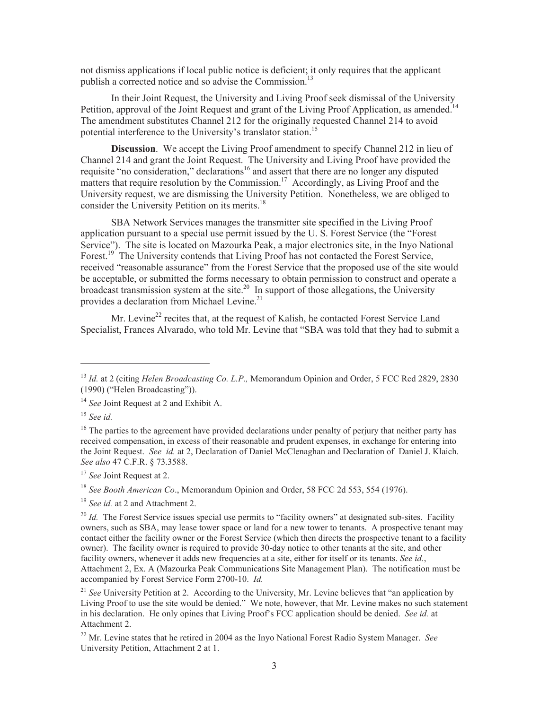not dismiss applications if local public notice is deficient; it only requires that the applicant publish a corrected notice and so advise the Commission.<sup>13</sup>

In their Joint Request, the University and Living Proof seek dismissal of the University Petition, approval of the Joint Request and grant of the Living Proof Application, as amended.<sup>14</sup> The amendment substitutes Channel 212 for the originally requested Channel 214 to avoid potential interference to the University's translator station.<sup>15</sup>

**Discussion**. We accept the Living Proof amendment to specify Channel 212 in lieu of Channel 214 and grant the Joint Request. The University and Living Proof have provided the requisite "no consideration," declarations<sup>16</sup> and assert that there are no longer any disputed matters that require resolution by the Commission.<sup>17</sup> Accordingly, as Living Proof and the University request, we are dismissing the University Petition. Nonetheless, we are obliged to consider the University Petition on its merits.<sup>18</sup>

SBA Network Services manages the transmitter site specified in the Living Proof application pursuant to a special use permit issued by the U. S. Forest Service (the "Forest Service"). The site is located on Mazourka Peak, a major electronics site, in the Inyo National Forest.<sup>19</sup> The University contends that Living Proof has not contacted the Forest Service, received "reasonable assurance" from the Forest Service that the proposed use of the site would be acceptable, or submitted the forms necessary to obtain permission to construct and operate a broadcast transmission system at the site.<sup>20</sup> In support of those allegations, the University provides a declaration from Michael Levine.<sup>21</sup>

Mr. Levine<sup>22</sup> recites that, at the request of Kalish, he contacted Forest Service Land Specialist, Frances Alvarado, who told Mr. Levine that "SBA was told that they had to submit a

<sup>15</sup> *See id.*

<sup>18</sup> *See Booth American Co*., Memorandum Opinion and Order, 58 FCC 2d 553, 554 (1976).

<sup>13</sup> *Id.* at 2 (citing *Helen Broadcasting Co. L.P.,* Memorandum Opinion and Order, 5 FCC Rcd 2829, 2830 (1990) ("Helen Broadcasting")).

<sup>&</sup>lt;sup>14</sup> *See* Joint Request at 2 and Exhibit A.

<sup>&</sup>lt;sup>16</sup> The parties to the agreement have provided declarations under penalty of perjury that neither party has received compensation, in excess of their reasonable and prudent expenses, in exchange for entering into the Joint Request. *See id.* at 2, Declaration of Daniel McClenaghan and Declaration of Daniel J. Klaich. *See also* 47 C.F.R. § 73.3588.

<sup>17</sup> *See* Joint Request at 2.

<sup>19</sup> *See id.* at 2 and Attachment 2.

<sup>&</sup>lt;sup>20</sup> *Id.* The Forest Service issues special use permits to "facility owners" at designated sub-sites. Facility owners, such as SBA, may lease tower space or land for a new tower to tenants. A prospective tenant may contact either the facility owner or the Forest Service (which then directs the prospective tenant to a facility owner). The facility owner is required to provide 30-day notice to other tenants at the site, and other facility owners, whenever it adds new frequencies at a site, either for itself or its tenants. *See id.*, Attachment 2, Ex. A (Mazourka Peak Communications Site Management Plan). The notification must be accompanied by Forest Service Form 2700-10. *Id.*

<sup>&</sup>lt;sup>21</sup> *See* University Petition at 2. According to the University, Mr. Levine believes that "an application by Living Proof to use the site would be denied." We note, however, that Mr. Levine makes no such statement in his declaration. He only opines that Living Proof's FCC application should be denied. *See id.* at Attachment 2.

<sup>22</sup> Mr. Levine states that he retired in 2004 as the Inyo National Forest Radio System Manager. *See* University Petition, Attachment 2 at 1.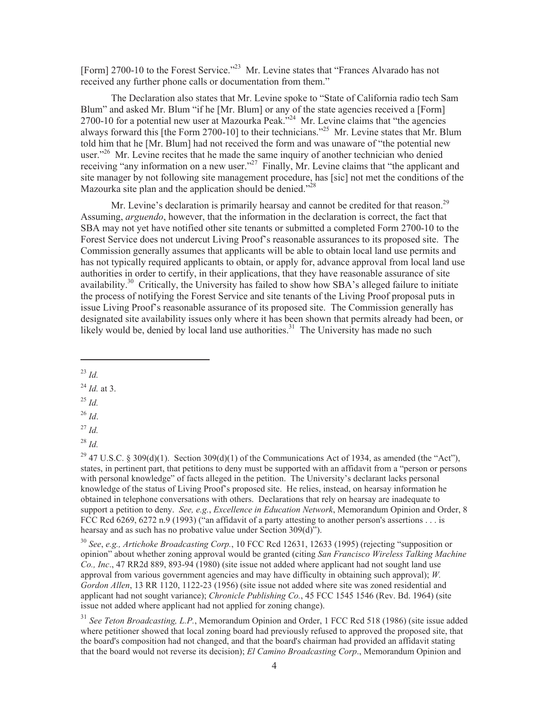[Form] 2700-10 to the Forest Service."<sup>23</sup> Mr. Levine states that "Frances Alvarado has not received any further phone calls or documentation from them."

The Declaration also states that Mr. Levine spoke to "State of California radio tech Sam Blum" and asked Mr. Blum "if he [Mr. Blum] or any of the state agencies received a [Form] 2700-10 for a potential new user at Mazourka Peak."<sup>24</sup> Mr. Levine claims that "the agencies" always forward this [the Form 2700-10] to their technicians."<sup>25</sup> Mr. Levine states that Mr. Blum told him that he [Mr. Blum] had not received the form and was unaware of "the potential new user."<sup>26</sup> Mr. Levine recites that he made the same inquiry of another technician who denied receiving "any information on a new user."<sup>27</sup> Finally, Mr. Levine claims that "the applicant and site manager by not following site management procedure, has [sic] not met the conditions of the Mazourka site plan and the application should be denied."<sup>28</sup>

Mr. Levine's declaration is primarily hearsay and cannot be credited for that reason.<sup>29</sup> Assuming, *arguendo*, however, that the information in the declaration is correct, the fact that SBA may not yet have notified other site tenants or submitted a completed Form 2700-10 to the Forest Service does not undercut Living Proof's reasonable assurances to its proposed site. The Commission generally assumes that applicants will be able to obtain local land use permits and has not typically required applicants to obtain, or apply for, advance approval from local land use authorities in order to certify, in their applications, that they have reasonable assurance of site availability.<sup>30</sup> Critically, the University has failed to show how SBA's alleged failure to initiate the process of notifying the Forest Service and site tenants of the Living Proof proposal puts in issue Living Proof's reasonable assurance of its proposed site. The Commission generally has designated site availability issues only where it has been shown that permits already had been, or likely would be, denied by local land use authorities.<sup>31</sup> The University has made no such

<sup>23</sup> *Id.*

<sup>24</sup> *Id.* at 3.

- <sup>25</sup> *Id.*
- <sup>26</sup> *Id*.
- <sup>27</sup> *Id.*

<sup>28</sup> *Id.*

<sup>29</sup> 47 U.S.C. § 309(d)(1). Section 309(d)(1) of the Communications Act of 1934, as amended (the "Act"), states, in pertinent part, that petitions to deny must be supported with an affidavit from a "person or persons with personal knowledge" of facts alleged in the petition. The University's declarant lacks personal knowledge of the status of Living Proof's proposed site. He relies, instead, on hearsay information he obtained in telephone conversations with others. Declarations that rely on hearsay are inadequate to support a petition to deny. *See, e.g.*, *Excellence in Education Network*, Memorandum Opinion and Order, 8 FCC Rcd 6269, 6272 n.9 (1993) ("an affidavit of a party attesting to another person's assertions . . . is hearsay and as such has no probative value under Section 309(d)").

<sup>30</sup> *See*, *e.g., Artichoke Broadcasting Corp.*, 10 FCC Rcd 12631, 12633 (1995) (rejecting "supposition or opinion" about whether zoning approval would be granted (citing *San Francisco Wireless Talking Machine Co., Inc*., 47 RR2d 889, 893-94 (1980) (site issue not added where applicant had not sought land use approval from various government agencies and may have difficulty in obtaining such approval); *W. Gordon Allen*, 13 RR 1120, 1122-23 (1956) (site issue not added where site was zoned residential and applicant had not sought variance); *Chronicle Publishing Co.*, 45 FCC 1545 1546 (Rev. Bd. 1964) (site issue not added where applicant had not applied for zoning change).

<sup>31</sup> *See Teton Broadcasting, L.P.*, Memorandum Opinion and Order, 1 FCC Rcd 518 (1986) (site issue added where petitioner showed that local zoning board had previously refused to approved the proposed site, that the board's composition had not changed, and that the board's chairman had provided an affidavit stating that the board would not reverse its decision); *El Camino Broadcasting Corp*., Memorandum Opinion and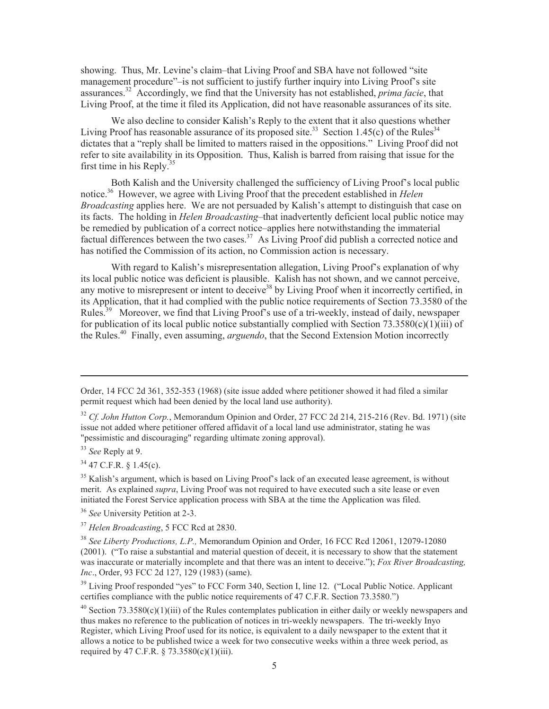showing. Thus, Mr. Levine's claim–that Living Proof and SBA have not followed "site management procedure"–is not sufficient to justify further inquiry into Living Proof's site assurances.<sup>32</sup> Accordingly, we find that the University has not established, *prima facie*, that Living Proof, at the time it filed its Application, did not have reasonable assurances of its site.

We also decline to consider Kalish's Reply to the extent that it also questions whether Living Proof has reasonable assurance of its proposed site.<sup>33</sup> Section 1.45(c) of the Rules<sup>34</sup> dictates that a "reply shall be limited to matters raised in the oppositions." Living Proof did not refer to site availability in its Opposition. Thus, Kalish is barred from raising that issue for the first time in his Reply. $35$ 

Both Kalish and the University challenged the sufficiency of Living Proof's local public notice.<sup>36</sup> However, we agree with Living Proof that the precedent established in *Helen Broadcasting* applies here. We are not persuaded by Kalish's attempt to distinguish that case on its facts. The holding in *Helen Broadcasting*–that inadvertently deficient local public notice may be remedied by publication of a correct notice–applies here notwithstanding the immaterial factual differences between the two cases.<sup>37</sup> As Living Proof did publish a corrected notice and has notified the Commission of its action, no Commission action is necessary.

With regard to Kalish's misrepresentation allegation, Living Proof's explanation of why its local public notice was deficient is plausible. Kalish has not shown, and we cannot perceive, any motive to misrepresent or intent to deceive<sup>38</sup> by Living Proof when it incorrectly certified, in its Application, that it had complied with the public notice requirements of Section 73.3580 of the Rules.<sup>39</sup> Moreover, we find that Living Proof's use of a tri-weekly, instead of daily, newspaper for publication of its local public notice substantially complied with Section 73.3580(c)(1)(iii) of the Rules.<sup>40</sup> Finally, even assuming, *arguendo*, that the Second Extension Motion incorrectly

 $34$  47 C.F.R.  $8$  1.45(c).

<sup>35</sup> Kalish's argument, which is based on Living Proof's lack of an executed lease agreement, is without merit. As explained *supra*, Living Proof was not required to have executed such a site lease or even initiated the Forest Service application process with SBA at the time the Application was filed.

<sup>36</sup> *See* University Petition at 2-3.

<sup>38</sup> *See Liberty Productions, L.P.,* Memorandum Opinion and Order, 16 FCC Rcd 12061, 12079-12080 (2001). ("To raise a substantial and material question of deceit, it is necessary to show that the statement was inaccurate or materially incomplete and that there was an intent to deceive."); *Fox River Broadcasting, Inc*., Order, 93 FCC 2d 127, 129 (1983) (same).

<sup>39</sup> Living Proof responded "yes" to FCC Form 340, Section I, line 12. ("Local Public Notice. Applicant certifies compliance with the public notice requirements of 47 C.F.R. Section 73.3580.")

<sup>40</sup> Section 73.3580(c)(1)(iii) of the Rules contemplates publication in either daily or weekly newspapers and thus makes no reference to the publication of notices in tri-weekly newspapers. The tri-weekly Inyo Register, which Living Proof used for its notice, is equivalent to a daily newspaper to the extent that it allows a notice to be published twice a week for two consecutive weeks within a three week period, as required by 47 C.F.R.  $\S$  73.3580(c)(1)(iii).

Order, 14 FCC 2d 361, 352-353 (1968) (site issue added where petitioner showed it had filed a similar permit request which had been denied by the local land use authority).

<sup>32</sup> *Cf. John Hutton Corp.*, Memorandum Opinion and Order, 27 FCC 2d 214, 215-216 (Rev. Bd. 1971) (site issue not added where petitioner offered affidavit of a local land use administrator, stating he was "pessimistic and discouraging" regarding ultimate zoning approval).

<sup>33</sup> *See* Reply at 9.

<sup>37</sup> *Helen Broadcasting*, 5 FCC Rcd at 2830.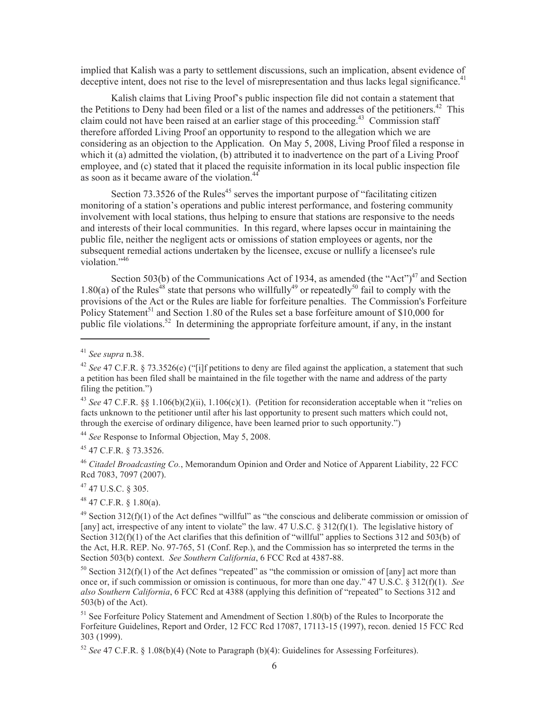implied that Kalish was a party to settlement discussions, such an implication, absent evidence of deceptive intent, does not rise to the level of misrepresentation and thus lacks legal significance.<sup>41</sup>

Kalish claims that Living Proof's public inspection file did not contain a statement that the Petitions to Deny had been filed or a list of the names and addresses of the petitioners.<sup>42</sup> This claim could not have been raised at an earlier stage of this proceeding.<sup>43</sup> Commission staff therefore afforded Living Proof an opportunity to respond to the allegation which we are considering as an objection to the Application. On May 5, 2008, Living Proof filed a response in which it (a) admitted the violation, (b) attributed it to inadvertence on the part of a Living Proof employee, and (c) stated that it placed the requisite information in its local public inspection file as soon as it became aware of the violation.<sup>44</sup>

Section  $73.3526$  of the Rules<sup>45</sup> serves the important purpose of "facilitating citizen monitoring of a station's operations and public interest performance, and fostering community involvement with local stations, thus helping to ensure that stations are responsive to the needs and interests of their local communities. In this regard, where lapses occur in maintaining the public file, neither the negligent acts or omissions of station employees or agents, nor the subsequent remedial actions undertaken by the licensee, excuse or nullify a licensee's rule violation."<sup>46</sup>

Section 503(b) of the Communications Act of 1934, as amended (the "Act") $47$  and Section 1.80(a) of the Rules<sup>48</sup> state that persons who willfully<sup>49</sup> or repeatedly<sup>50</sup> fail to comply with the provisions of the Act or the Rules are liable for forfeiture penalties. The Commission's Forfeiture Policy Statement<sup>51</sup> and Section 1.80 of the Rules set a base forfeiture amount of \$10,000 for public file violations.<sup>52</sup> In determining the appropriate forfeiture amount, if any, in the instant

<sup>44</sup> *See* Response to Informal Objection, May 5, 2008.

<sup>45</sup> 47 C.F.R. § 73.3526.

<sup>46</sup> *Citadel Broadcasting Co.*, Memorandum Opinion and Order and Notice of Apparent Liability, 22 FCC Rcd 7083, 7097 (2007).

<sup>47</sup> 47 U.S.C. § 305.

 $48$  47 C.F.R. § 1.80(a).

 $50$  Section 312(f)(1) of the Act defines "repeated" as "the commission or omission of [any] act more than once or, if such commission or omission is continuous, for more than one day." 47 U.S.C. § 312(f)(1). *See also Southern California*, 6 FCC Rcd at 4388 (applying this definition of "repeated" to Sections 312 and 503(b) of the Act).

<sup>51</sup> See Forfeiture Policy Statement and Amendment of Section 1.80(b) of the Rules to Incorporate the Forfeiture Guidelines, Report and Order, 12 FCC Rcd 17087, 17113-15 (1997), recon. denied 15 FCC Rcd 303 (1999).

<sup>52</sup> *See* 47 C.F.R. § 1.08(b)(4) (Note to Paragraph (b)(4): Guidelines for Assessing Forfeitures).

<sup>41</sup> *See supra* n.38.

<sup>42</sup> *See* 47 C.F.R. § 73.3526(e) ("[i]f petitions to deny are filed against the application, a statement that such a petition has been filed shall be maintained in the file together with the name and address of the party filing the petition.")

<sup>&</sup>lt;sup>43</sup> See 47 C.F.R. §§ 1.106(b)(2)(ii), 1.106(c)(1). (Petition for reconsideration acceptable when it "relies on facts unknown to the petitioner until after his last opportunity to present such matters which could not, through the exercise of ordinary diligence, have been learned prior to such opportunity.")

<sup>&</sup>lt;sup>49</sup> Section 312(f)(1) of the Act defines "willful" as "the conscious and deliberate commission or omission of [any] act, irrespective of any intent to violate" the law. 47 U.S.C. § 312(f)(1). The legislative history of Section 312(f)(1) of the Act clarifies that this definition of "willful" applies to Sections 312 and 503(b) of the Act, H.R. REP. No. 97-765, 51 (Conf. Rep.), and the Commission has so interpreted the terms in the Section 503(b) context. *See Southern California*, 6 FCC Rcd at 4387-88.